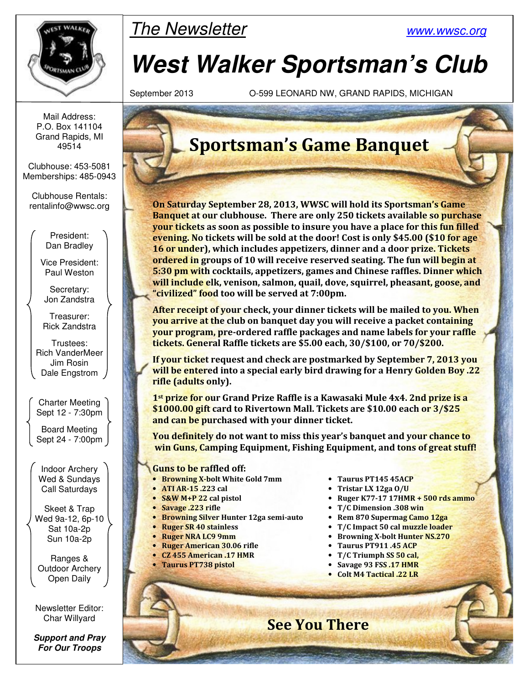

### The Newsletter www.wwsc.org

# **West Walker Sportsman's Club**

September 2013 O-599 LEONARD NW, GRAND RAPIDS, MICHIGAN

Mail Address: P.O. Box 141104 Grand Rapids, MI 49514

Clubhouse: 453-5081 Memberships: 485-0943

Clubhouse Rentals: rentalinfo@wwsc.org

> President: Dan Bradley

Vice President: Paul Weston

Secretary: Jon Zandstra

Treasurer: Rick Zandstra

Trustees: Rich VanderMeer Jim Rosin Dale Engstrom

Charter Meeting Sept 12 - 7:30pm

Board Meeting Sept 24 - 7:00pm

Indoor Archery Wed & Sundays Call Saturdays

Skeet & Trap Wed 9a-12, 6p-10 Sat 10a-2p Sun 10a-2p

Ranges & Outdoor Archery Open Daily

Newsletter Editor: Char Willyard

**Support and Pray For Our Troops** 

## **Sportsman's Game Banquet**

**On Saturday September 28, 2013, WWSC will hold its Sportsman's Game Banquet at our clubhouse. There are only 250 tickets available so purchase your tickets as soon as possible to insure you have a place for this fun filled evening. No tickets will be sold at the door! Cost is only \$45.00 (\$10 for age 16 or under), which includes appetizers, dinner and a door prize. Tickets ordered in groups of 10 will receive reserved seating. The fun will begin at 5:30 pm with cocktails, appetizers, games and Chinese raffles. Dinner which will include elk, venison, salmon, quail, dove, squirrel, pheasant, goose, and "civilized" food too will be served at 7:00pm.** 

**After receipt of your check, your dinner tickets will be mailed to you. When you arrive at the club on banquet day you will receive a packet containing your program, pre-ordered raffle packages and name labels for your raffle tickets. General Raffle tickets are \$5.00 each, 30/\$100, or 70/\$200.** 

**If your ticket request and check are postmarked by September 7, 2013 you will be entered into a special early bird drawing for a Henry Golden Boy .22 rifle (adults only).** 

**1st prize for our Grand Prize Raffle is a Kawasaki Mule 4x4. 2nd prize is a \$1000.00 gift card to Rivertown Mall. Tickets are \$10.00 each or 3/\$25 and can be purchased with your dinner ticket.** 

**You definitely do not want to miss this year's banquet and your chance to win Guns, Camping Equipment, Fishing Equipment, and tons of great stuff!** 

 **See You There** 

- **Guns to be raffled off:** 
	- **Browning X-bolt White Gold 7mm Taurus PT145 45ACP**
	-
	-
	-
	- **Browning Silver Hunter 12ga semi-auto Rem 870 Supermag Camo 12ga**
	-
	-
	- **Ruger American 30.06 rifle Taurus PT911 .45 ACP**
	-
	-
	-
- 
- **ATI AR-15 .223 cal Tristar LX 12ga O/U**
- **S&W M+P 22 cal pistol Ruger K77-17 17HMR + 500 rds ammo**
- **Savage .223 rifle T/C Dimension .308 win** 
	-
	- **Ruger SR 40 stainless T/C Impact 50 cal muzzle loader**
	- **Ruger NRA LC9 9mm Browning X-bolt Hunter NS.270** 
		-
	- **CZ 455 American .17 HMR T/C Triumph SS 50 cal,**
	- **Taurus PT738 pistol Savage 93 FSS .17 HMR** 
		- **Colt M4 Tactical .22 LR**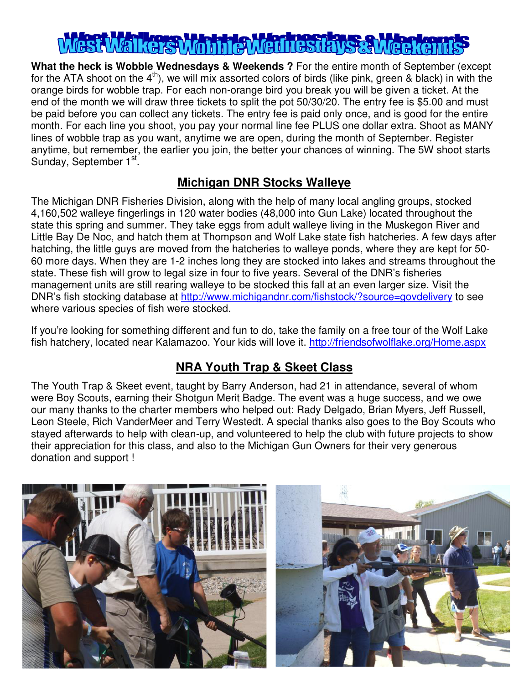## $\overline{1}$

**What the heck is Wobble Wednesdays & Weekends ?** For the entire month of September (except for the ATA shoot on the  $4<sup>th</sup>$ ), we will mix assorted colors of birds (like pink, green & black) in with the orange birds for wobble trap. For each non-orange bird you break you will be given a ticket. At the end of the month we will draw three tickets to split the pot 50/30/20. The entry fee is \$5.00 and must be paid before you can collect any tickets. The entry fee is paid only once, and is good for the entire month. For each line you shoot, you pay your normal line fee PLUS one dollar extra. Shoot as MANY lines of wobble trap as you want, anytime we are open, during the month of September. Register anytime, but remember, the earlier you join, the better your chances of winning. The 5W shoot starts Sunday, September 1st.

#### **Michigan DNR Stocks Walleye**

The Michigan DNR Fisheries Division, along with the help of many local angling groups, stocked 4,160,502 walleye fingerlings in 120 water bodies (48,000 into Gun Lake) located throughout the state this spring and summer. They take eggs from adult walleye living in the Muskegon River and Little Bay De Noc, and hatch them at Thompson and Wolf Lake state fish hatcheries. A few days after hatching, the little guys are moved from the hatcheries to walleye ponds, where they are kept for 50- 60 more days. When they are 1-2 inches long they are stocked into lakes and streams throughout the state. These fish will grow to legal size in four to five years. Several of the DNR's fisheries management units are still rearing walleye to be stocked this fall at an even larger size. Visit the DNR's fish stocking database at http://www.michigandnr.com/fishstock/?source=govdelivery to see where various species of fish were stocked.

If you're looking for something different and fun to do, take the family on a free tour of the Wolf Lake fish hatchery, located near Kalamazoo. Your kids will love it. http://friendsofwolflake.org/Home.aspx

#### **NRA Youth Trap & Skeet Class**

The Youth Trap & Skeet event, taught by Barry Anderson, had 21 in attendance, several of whom were Boy Scouts, earning their Shotgun Merit Badge. The event was a huge success, and we owe our many thanks to the charter members who helped out: Rady Delgado, Brian Myers, Jeff Russell, Leon Steele, Rich VanderMeer and Terry Westedt. A special thanks also goes to the Boy Scouts who stayed afterwards to help with clean-up, and volunteered to help the club with future projects to show their appreciation for this class, and also to the Michigan Gun Owners for their very generous donation and support !

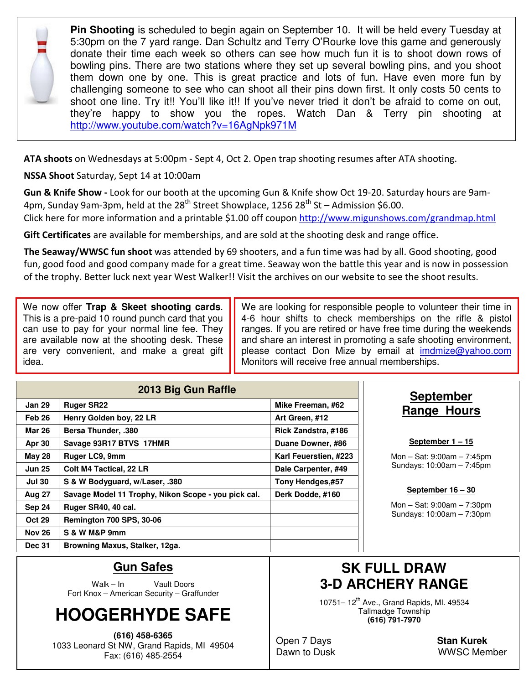

**Pin Shooting** is scheduled to begin again on September 10. It will be held every Tuesday at 5:30pm on the 7 yard range. Dan Schultz and Terry O'Rourke love this game and generously donate their time each week so others can see how much fun it is to shoot down rows of bowling pins. There are two stations where they set up several bowling pins, and you shoot them down one by one. This is great practice and lots of fun. Have even more fun by challenging someone to see who can shoot all their pins down first. It only costs 50 cents to shoot one line. Try it!! You'll like it!! If you've never tried it don't be afraid to come on out, they're happy to show you the ropes. Watch Dan & Terry pin shooting at http://www.youtube.com/watch?v=16AgNpk971M

**ATA shoots** on Wednesdays at 5:00pm - Sept 4, Oct 2. Open trap shooting resumes after ATA shooting.

**NSSA Shoot** Saturday, Sept 14 at 10:00am

**Gun & Knife Show -** Look for our booth at the upcoming Gun & Knife show Oct 19-20. Saturday hours are 9am-4pm, Sunday 9am-3pm, held at the  $28<sup>th</sup>$  Street Showplace, 1256  $28<sup>th</sup>$  St – Admission \$6.00.

Click here for more information and a printable \$1.00 off coupon http://www.migunshows.com/grandmap.html

**Gift Certificates** are available for memberships, and are sold at the shooting desk and range office.

**The Seaway/WWSC fun shoot** was attended by 69 shooters, and a fun time was had by all. Good shooting, good fun, good food and good company made for a great time. Seaway won the battle this year and is now in possession of the trophy. Better luck next year West Walker!! Visit the archives on our website to see the shoot results.

We now offer **Trap & Skeet shooting cards**. This is a pre-paid 10 round punch card that you can use to pay for your normal line fee. They are available now at the shooting desk. These are very convenient, and make a great gift idea.

We are looking for responsible people to volunteer their time in 4-6 hour shifts to check memberships on the rifle & pistol ranges. If you are retired or have free time during the weekends and share an interest in promoting a safe shooting environment, please contact Don Mize by email at imdmize@yahoo.com Monitors will receive free annual memberships.

| 2013 Big Gun Raffle |                                                     |                       |  |  |  |  |
|---------------------|-----------------------------------------------------|-----------------------|--|--|--|--|
| <b>Jan 29</b>       | <b>Ruger SR22</b>                                   | Mike Freeman, #62     |  |  |  |  |
| Feb <sub>26</sub>   | Henry Golden boy, 22 LR                             | Art Green, #12        |  |  |  |  |
| Mar 26              | <b>Bersa Thunder, .380</b>                          | Rick Zandstra, #186   |  |  |  |  |
| Apr 30              | Savage 93R17 BTVS 17HMR                             | Duane Downer, #86     |  |  |  |  |
| <b>May 28</b>       | Ruger LC9, 9mm                                      | Karl Feuerstien, #223 |  |  |  |  |
| <b>Jun 25</b>       | <b>Colt M4 Tactical, 22 LR</b>                      | Dale Carpenter, #49   |  |  |  |  |
| <b>Jul 30</b>       | S & W Bodyguard, w/Laser, .380                      | Tony Hendges,#57      |  |  |  |  |
| <b>Aug 27</b>       | Savage Model 11 Trophy, Nikon Scope - you pick cal. | Derk Dodde, #160      |  |  |  |  |
| Sep 24              | Ruger SR40, 40 cal.                                 |                       |  |  |  |  |
| <b>Oct 29</b>       | <b>Remington 700 SPS, 30-06</b>                     |                       |  |  |  |  |
| <b>Nov 26</b>       | S & W M&P 9mm                                       |                       |  |  |  |  |
| <b>Dec 31</b>       | Browning Maxus, Stalker, 12ga.                      |                       |  |  |  |  |

#### **September Range Hours**

**September 1 – 15**

Mon – Sat: 9:00am – 7:45pm Sundays: 10:00am – 7:45pm

**September 16 – 30**

Mon – Sat: 9:00am – 7:30pm Sundays: 10:00am – 7:30pm

#### **Gun Safes**

Walk – In Vault Doors Fort Knox – American Security – Graffunder

## **HOOGERHYDE SAFE**

**(616) 458-6365**  1033 Leonard St NW, Grand Rapids, MI 49504 Fax: (616) 485-2554

#### **SK FULL DRAW 3-D ARCHERY RANGE**

10751- 12<sup>th</sup> Ave., Grand Rapids, Ml. 49534 Tallmadge Township **(616) 791-7970** 

Open 7 Days **Stan Kurek**

Dawn to Dusk WWSC Member